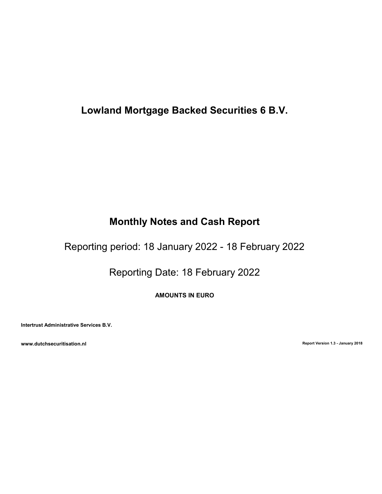# Lowland Mortgage Backed Securities 6 B.V.

# Monthly Notes and Cash Report

Reporting period: 18 January 2022 - 18 February 2022

Reporting Date: 18 February 2022

AMOUNTS IN EURO

Intertrust Administrative Services B.V.

www.dutchsecuritisation.nl **Exercise 2018** Report Version 1.3 - January 2018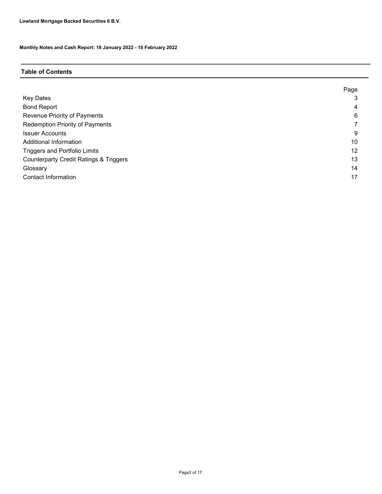## Table of Contents

|                                                   | Page |
|---------------------------------------------------|------|
| <b>Key Dates</b>                                  | 3    |
| <b>Bond Report</b>                                | 4    |
| Revenue Priority of Payments                      | 6    |
| <b>Redemption Priority of Payments</b>            |      |
| <b>Issuer Accounts</b>                            | 9    |
| Additional Information                            | 10   |
| <b>Triggers and Portfolio Limits</b>              | 12   |
| <b>Counterparty Credit Ratings &amp; Triggers</b> | 13   |
| Glossary                                          | 14   |
| <b>Contact Information</b>                        | 17   |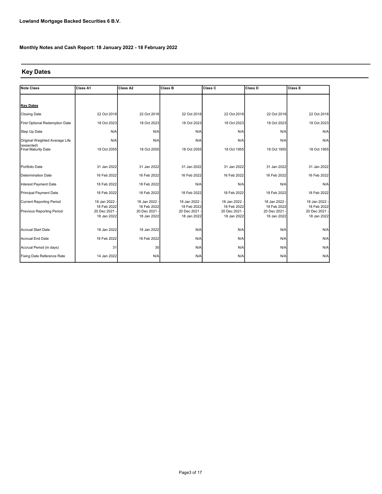## Key Dates

| <b>Note Class</b>                 | Class A1                   | Class A2                   | <b>Class B</b>             | Class C                    | Class D                    | <b>Class E</b>               |
|-----------------------------------|----------------------------|----------------------------|----------------------------|----------------------------|----------------------------|------------------------------|
|                                   |                            |                            |                            |                            |                            |                              |
| <b>Key Dates</b>                  |                            |                            |                            |                            |                            |                              |
| <b>Closing Date</b>               | 22 Oct 2018                | 22 Oct 2018                | 22 Oct 2018                | 22 Oct 2018                | 22 Oct 2018                | 22 Oct 2018                  |
| First Optional Redemption Date    | 18 Oct 2023                | 18 Oct 2023                | 18 Oct 2023                | 18 Oct 2023                | 18 Oct 2023                | 18 Oct 2023                  |
| Step Up Date                      | N/A                        | N/A                        | N/A                        | N/A                        | N/A                        | N/A                          |
| Original Weighted Average Life    | N/A                        | N/A                        | N/A                        | N/A                        | N/A                        | N/A                          |
| (expected)<br>Final Maturity Date | 18 Oct 2055                | 18 Oct 2055                | 18 Oct 2055                | 18 Oct 1955                | 18 Oct 1955                | 18 Oct 1955                  |
|                                   |                            |                            |                            |                            |                            |                              |
| Portfolio Date                    | 31 Jan 2022                | 31 Jan 2022                | 31 Jan 2022                | 31 Jan 2022                | 31 Jan 2022                | 31 Jan 2022                  |
| Determination Date                | 16 Feb 2022                | 16 Feb 2022                | 16 Feb 2022                | 16 Feb 2022                | 16 Feb 2022                | 16 Feb 2022                  |
| Interest Payment Date             | 18 Feb 2022                | 18 Feb 2022                | N/A                        | N/A                        | N/A                        | N/A                          |
| Principal Payment Date            | 18 Feb 2022                | 18 Feb 2022                | 18 Feb 2022                | 18 Feb 2022                | 18 Feb 2022                | 18 Feb 2022                  |
| <b>Current Reporting Period</b>   | 18 Jan 2022                | 18 Jan 2022 -              | 18 Jan 2022 -              | 18 Jan 2022                | 18 Jan 2022 -              | 18 Jan 2022                  |
| <b>Previous Reporting Period</b>  | 18 Feb 2022<br>20 Dec 2021 | 18 Feb 2022<br>20 Dec 2021 | 18 Feb 2022<br>20 Dec 2021 | 18 Feb 2022<br>20 Dec 2021 | 18 Feb 2022<br>20 Dec 2021 | 18 Feb 2022<br>20 Dec 2021 - |
|                                   | 18 Jan 2022                | 18 Jan 2022                | 18 Jan 2022                | 18 Jan 2022                | 18 Jan 2022                | 18 Jan 2022                  |
| Accrual Start Date                | 18 Jan 2022                | 18 Jan 2022                | N/A                        | N/A                        | N/A                        | N/A                          |
|                                   |                            |                            |                            |                            |                            |                              |
| Accrual End Date                  | 18 Feb 2022                | 18 Feb 2022                | N/A                        | N/A                        | N/A                        | N/A                          |
| Accrual Period (in days)          | 31                         | 30                         | N/A                        | N/A                        | N/A                        | N/A                          |
| Fixing Date Reference Rate        | 14 Jan 2022                | N/A                        | N/A                        | N/A                        | N/A                        | N/A                          |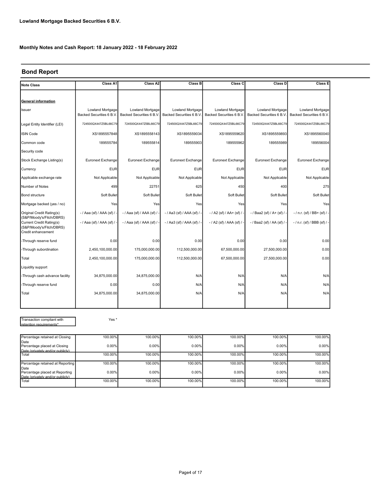## Bond Report

| <b>Note Class</b>                                                          | Class A1                                    | Class A2                                    | Class B                                     | Class C                                     | Class D                                     | Class E                                      |
|----------------------------------------------------------------------------|---------------------------------------------|---------------------------------------------|---------------------------------------------|---------------------------------------------|---------------------------------------------|----------------------------------------------|
|                                                                            |                                             |                                             |                                             |                                             |                                             |                                              |
| <b>General information</b>                                                 |                                             |                                             |                                             |                                             |                                             |                                              |
| Issuer                                                                     | Lowland Mortgage<br>Backed Securities 6 B.V | Lowland Mortgage<br>Backed Securities 6 B.V | Lowland Mortgage<br>Backed Securities 6 B.V | Lowland Mortgage<br>Backed Securities 6 B.V | Lowland Mortgage<br>Backed Securities 6 B.V | Lowland Mortgage<br>Backed Securities 6 B.V. |
| Legal Entity Identifier (LEI)                                              | 724500QX447Z5BL66C79                        | 724500QX447Z5BL66C79                        | 724500QX447Z5BL66C79                        | 724500QX447Z5BL66C79                        | 724500QX447Z5BL66C79                        | 724500QX447Z5BL66C79                         |
| <b>ISIN Code</b>                                                           | XS1895557848                                | XS1895558143                                | XS1895559034                                | XS1895559620                                | XS1895559893                                | XS1895560040                                 |
| Common code                                                                | 189555784                                   | 189555814                                   | 189555903                                   | 189555962                                   | 189555989                                   | 189556004                                    |
| Security code                                                              |                                             |                                             |                                             |                                             |                                             |                                              |
| Stock Exchange Listing(s)                                                  | Euronext Exchange                           | Euronext Exchange                           | Euronext Exchange                           | Euronext Exchange                           | Euronext Exchange                           | Euronext Exchange                            |
| Currency                                                                   | <b>EUR</b>                                  | <b>EUR</b>                                  | <b>EUR</b>                                  | <b>EUR</b>                                  | <b>EUR</b>                                  | <b>EUR</b>                                   |
| Applicable exchange rate                                                   | Not Applicable                              | Not Applicable                              | Not Applicable                              | Not Applicable                              | Not Applicable                              | Not Applicable                               |
| Number of Notes                                                            | 499                                         | 22751                                       | 625                                         | 450                                         | 400                                         | 275                                          |
| Bond structure                                                             | Soft Bullet                                 | Soft Bullet                                 | Soft Bullet                                 | Soft Bullet                                 | Soft Bullet                                 | Soft Bullet                                  |
| Mortgage backed (yes / no)                                                 | Yes                                         | Yes                                         | Yes                                         | Yes                                         | Yes                                         | Yes                                          |
| Original Credit Rating(s)<br>(S&P/Moody's/Fitch/DBRS)                      | - / Aaa (sf) / AAA (sf) / -                 | - / Aaa (sf) / AAA (sf) / -                 | - / Aa3 (sf) / AAA (sf) / -                 | $-$ / A2 (sf) / AA+ (sf) / -                | $-$ / Baa2 (sf) / A+ (sf) / -               | $-$ / n.r. (sf) / BB+ (sf) / -               |
| Current Credit Rating(s)<br>(S&P/Moody's/Fitch/DBRS)<br>Credit enhancement | - / Aaa (sf) / AAA (sf) / -                 | - / Aaa (sf) / AAA (sf) / -                 | $-$ / Aa3 (sf) / AAA (sf) / -               | - / A2 (sf) / AAA (sf) / -                  | - / Baa2 (sf) / AA (sf) / -                 | $-$ / n.r. (sf) / BBB (sf) / -               |
| -Through reserve fund                                                      | 0.00                                        | 0.00                                        | 0.00                                        | 0.00                                        | 0.00                                        | 0.00                                         |
| -Through subordination                                                     | 2,450,100,000.00                            | 175,000,000.00                              | 112,500,000.00                              | 67,500,000.00                               | 27,500,000.00                               | 0.00                                         |
| Total                                                                      | 2,450,100,000.00                            | 175,000,000.00                              | 112,500,000.00                              | 67,500,000.00                               | 27,500,000.00                               | 0.00                                         |
| Liquidity support                                                          |                                             |                                             |                                             |                                             |                                             |                                              |
| -Through cash advance facility                                             | 34,875,000.00                               | 34,875,000.00                               | N/A                                         | N/A                                         | N/A                                         | N/A                                          |
| -Through reserve fund                                                      | 0.00                                        | 0.00                                        | N/A                                         | N/A                                         | N/A                                         | N/A                                          |
| Total                                                                      | 34,875,000.00                               | 34,875,000.00                               | N/A                                         | N/A                                         | N/A                                         | N/A                                          |
|                                                                            |                                             |                                             |                                             |                                             |                                             |                                              |

Transaction compliant with retention requirements\*

Yes \*

| Percentage retained at Closing       | 100.00%  | 100.00%  | 100.00% | 100.00% | 100.00% | 100.00% |
|--------------------------------------|----------|----------|---------|---------|---------|---------|
| Date<br>Percentage placed at Closing | $0.00\%$ | $0.00\%$ | 0.00%   | 0.00%   | 0.00%   | 0.00%   |
| Date (privately and/or publicly)     |          |          |         |         |         |         |
| <b>Total</b>                         | 100.00%  | 100.00%  | 100.00% | 100.00% | 100.00% | 100.00% |
|                                      |          |          |         |         |         |         |
| Percentage retained at Reporting     | 100.00%  | 100.00%  | 100.00% | 100.00% | 100.00% | 100.00% |
| Date                                 |          |          |         |         |         |         |
| Percentage placed at Reporting       | $0.00\%$ | $0.00\%$ | 0.00%   | 0.00%   | 0.00%   | 0.00%   |
| Date (privately and/or publicly)     |          |          |         |         |         |         |
| Total                                | 100.00%  | 100.00%  | 100.00% | 100.00% | 100.00% | 100.00% |
|                                      |          |          |         |         |         |         |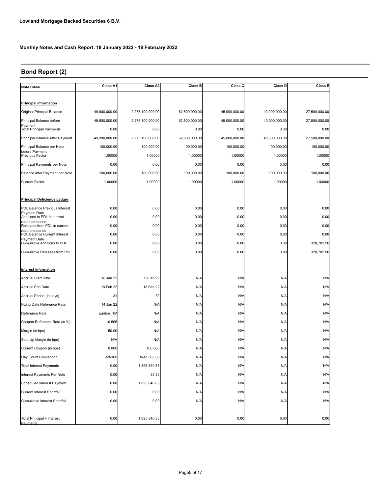## Bond Report (2)

| <b>Note Class</b>                                  | Class A1      | Class A2         | <b>Class B</b> | Class C       | Class D       | Class E       |
|----------------------------------------------------|---------------|------------------|----------------|---------------|---------------|---------------|
|                                                    |               |                  |                |               |               |               |
| <b>Principal information</b>                       |               |                  |                |               |               |               |
| Original Principal Balance                         | 49,900,000.00 | 2,275,100,000.00 | 62,500,000.00  | 45,000,000.00 | 40,000,000.00 | 27,500,000.00 |
| Principal Balance before                           | 49,900,000.00 | 2,275,100,000.00 | 62,500,000.00  | 45,000,000.00 | 40,000,000.00 | 27,500,000.00 |
| Payment<br><b>Total Principal Payments</b>         | 0.00          | 0.00             | 0.00           | 0.00          | 0.00          | 0.00          |
| Principal Balance after Payment                    | 49,900,000.00 | 2,275,100,000.00 | 62,500,000.00  | 45,000,000.00 | 40,000,000.00 | 27,500,000.00 |
| Principal Balance per Note                         | 100,000.00    | 100,000.00       | 100,000.00     | 100,000.00    | 100,000.00    | 100,000.00    |
| before Payment<br><b>Previous Factor</b>           | 1.00000       | 1.00000          | 1.00000        | 1.00000       | 1.00000       | 1.00000       |
| Principal Payments per Note                        | 0.00          | 0.00             | 0.00           | 0.00          | 0.00          | 0.00          |
| Balance after Payment per Note                     | 100,000.00    | 100,000.00       | 100,000.00     | 100,000.00    | 100,000.00    | 100,000.00    |
| <b>Current Factor</b>                              | 1.00000       | 1.00000          | 1.00000        | 1.00000       | 1.00000       | 1.00000       |
|                                                    |               |                  |                |               |               |               |
| <b>Principal Deficiency Ledger</b>                 |               |                  |                |               |               |               |
| PDL Balance Previous Interest                      | 0.00          | 0.00             | 0.00           | 0.00          | 0.00          | 0.00          |
| Payment Date<br>Additions to PDL in current        | 0.00          | 0.00             | 0.00           | 0.00          | 0.00          | 0.00          |
| reporting period<br>Releases from PDL in current   | 0.00          | 0.00             | 0.00           | 0.00          | 0.00          | 0.00          |
| reporting period<br>PDL Balance Current Interest   | 0.00          | 0.00             | 0.00           | 0.00          | 0.00          | 0.00          |
| <b>Payment Date</b><br>Cumulative Additions to PDL | 0.00          | 0.00             | 0.00           | 0.00          | 0.00          | 328,702.56    |
| Cumulative Releases from PDL                       | 0.00          | 0.00             | 0.00           | 0.00          | 0.00          | 328,702.56    |
|                                                    |               |                  |                |               |               |               |
| Interest information                               |               |                  |                |               |               |               |
| <b>Accrual Start Date</b>                          | 18 Jan 22     | 18 Jan 22        | N/A            | N/A           | N/A           | N/A           |
| Accrual End Date                                   | 18 Feb 22     | 18 Feb 22        | N/A            | N/A           | N/A           | N/A           |
| Accrual Period (in days)                           | 31            | 30               | N/A            | N/A           | N/A           | N/A           |
| Fixing Date Reference Rate                         | 14 Jan 22     | N/A              | N/A            | N/A           | N/A           | N/A           |
| Reference Rate                                     | Euribor_1M    | N/A              | N/A            | N/A           | N/A           | N/A           |
| Coupon Reference Rate (in %)                       | $-0.565$      | N/A              | N/A            | N/A           | N/A           | N/A           |
| Margin (in bps)                                    | 50.00         | N/A              | N/A            | N/A           | N/A           | N/A           |
| Step Up Margin (in bps)                            | N/A           | N/A              | N/A            | N/A           | N/A           | N/A           |
| Current Coupon (in bps)                            | 0.000         | 100.000          | N/A            | N/A           | N/A           | N/A           |
| Day Count Convention                               | act/360       | fixed 30/360     | N/A            | N/A           | N/A           | N/A           |
| <b>Total Interest Payments</b>                     | 0.00          | 1,895,840.83     | N/A            | N/A           | N/A           | N/A           |
| Interest Payments Per Note                         | 0.00          | 83.33            | N/A            | N/A           | N/A           | N/A           |
| Scheduled Interest Payment                         | 0.00          | 1,895,840.83     | N/A            | N/A           | N/A           | N/A           |
| Current Interest Shortfall                         | 0.00          | 0.00             | N/A            | N/A           | N/A           | N/A           |
| Cumulative Interest Shortfall                      | 0.00          | 0.00             | N/A            | N/A           | N/A           | N/A           |
|                                                    |               |                  |                |               |               |               |
| Total Principal + Interest<br>Payments             | 0.00          | 1,895,840.83     | 0.00           | 0.00          | 0.00          | 0.00          |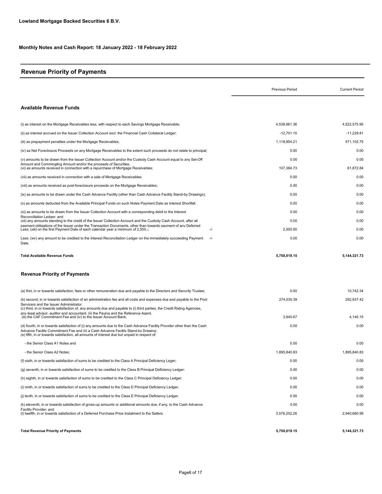## Revenue Priority of Payments

|                                                                                                                                                                                                                                                                                                               | <b>Previous Period</b> | <b>Current Period</b> |
|---------------------------------------------------------------------------------------------------------------------------------------------------------------------------------------------------------------------------------------------------------------------------------------------------------------|------------------------|-----------------------|
| <b>Available Revenue Funds</b>                                                                                                                                                                                                                                                                                |                        |                       |
| (i) as interest on the Mortgage Receivables less, with respect to each Savings Mortgage Receivable;                                                                                                                                                                                                           | 4.538.981.36           | 4,522,575.95          |
| (ii) as interest accrued on the Issuer Collection Account excl. the Financial Cash Collateral Ledger;                                                                                                                                                                                                         | $-12,701.15$           | $-11,229.81$          |
| (iii) as prepayment penalties under the Mortgage Receivables;                                                                                                                                                                                                                                                 | 1,118,854.21           | 571,102.75            |
| (iv) as Net Foreclosure Proceeds on any Mortgage Receivables to the extent such proceeds do not relate to principal;                                                                                                                                                                                          | 0.00                   | 0.00                  |
| (v) amounts to be drawn from the Issuer Collection Account and/or the Custody Cash Account equal to any Set-Off                                                                                                                                                                                               | 0.00                   | 0.00                  |
| Amount and Commingling Amount and/or the proceeds of Securities;<br>(vi) as amounts received in connection with a repurchase of Mortgage Receivables;                                                                                                                                                         | 107,384.73             | 61,872.84             |
| (vii) as amounts received in connection with a sale of Mortgage Receivables;                                                                                                                                                                                                                                  | 0.00                   | 0.00                  |
| (viii) as amounts received as post-foreclosure proceeds on the Mortgage Receivables;                                                                                                                                                                                                                          | 0.00                   | 0.00                  |
| (ix) as amounts to be drawn under the Cash Advance Facility (other than Cash Advance Facility Stand-by Drawings);                                                                                                                                                                                             | 0.00                   | 0.00                  |
| (x) as amounts deducted from the Available Principal Funds on such Notes Payment Date as Interest Shortfall;                                                                                                                                                                                                  | 0.00                   | 0.00                  |
| (xi) as amounts to be drawn from the Issuer Collection Account with a corresponding debit to the Interest                                                                                                                                                                                                     | 0.00                   | 0.00                  |
| Reconciliation Ledger; and<br>(xii) any amounts standing to the credit of the Issuer Collection Account and the Custody Cash Account, after all                                                                                                                                                               | 0.00                   | 0.00                  |
| payment obligations of the Issuer under the Transaction Documents, other than towards payment of any Deferred<br>Less; (xiii) on the first Payment Date of each calendar year a minimum of 2,500,-;<br>-/-                                                                                                    | 2,500.00               | 0.00                  |
| Less: (xiv) any amount to be credited to the Interest Reconciliation Ledger on the immediately succeeding Payment<br>$-/-$<br>Date.                                                                                                                                                                           | 0.00                   | 0.00                  |
| <b>Total Available Revenue Funds</b>                                                                                                                                                                                                                                                                          | 5,750,019.15           | 5,144,321.73          |
| <b>Revenue Priority of Payments</b>                                                                                                                                                                                                                                                                           |                        |                       |
| (a) first, in or towards satisfaction, fees or other remuneration due and payable to the Directors and Security Trustee;                                                                                                                                                                                      | 0.00                   | 10,742.34             |
| (b) second, in or towards satisfaction of an administration fee and all costs and expenses due and payable to the Pool<br>Servicers and the Issuer Administrator;<br>(c) third, in or towards satisfaction of, any amounts due and payable to (i) third parties, the Credit Rating Agencies,                  | 274,030.39             | 292,937.42            |
| anv legal advisor. auditor and accountant. (ii) the Paving and the Reference Agent.<br>(iii) the CAF Commitment Fee and (iv) to the Issuer Account Bank;                                                                                                                                                      | 3,945.67               | 4,140.15              |
| (d) fourth, in or towards satisfaction of (i) any amounts due to the Cash Advance Facility Provider other than the Cash<br>Advance Facilitv Commitment Fee and (ii) a Cash Advance Facilitv Stand-bv Drawing:<br>(e) fifth, in or towards satisfaction, all amounts of interest due but unpaid in respect of: | 0.00                   | 0.00                  |
| - the Senior Class A1 Notes and                                                                                                                                                                                                                                                                               | 0.00                   | 0.00                  |
| - the Senior Class A2 Notes;                                                                                                                                                                                                                                                                                  | 1,895,840.83           | 1,895,840.83          |
| (f) sixth, in or towards satisfaction of sums to be credited to the Class A Principal Deficiency Leger;                                                                                                                                                                                                       | 0.00                   | 0.00                  |
| (g) seventh, in or towards satisfaction of sums to be credited to the Class B Principal Deficiency Ledger:                                                                                                                                                                                                    | 0.00                   | 0.00                  |
| (h) eighth, in or towards satisfaction of sums to be credited to the Class C Principal Deficiency Ledger;                                                                                                                                                                                                     | 0.00                   | 0.00                  |
| (i) ninth, in or towards satisfaction of sums to be credited to the Class D Principal Deficiency Ledger;                                                                                                                                                                                                      | 0.00                   | 0.00                  |
| (i) tenth, in or towards satisfaction of sums to be credited to the Class E Principal Deficiency Ledger;                                                                                                                                                                                                      | 0.00                   | 0.00                  |
| (k) eleventh, in or towards satisfaction of gross-up amounts or additional amounts due, if any, to the Cash Advance                                                                                                                                                                                           | 0.00                   | 0.00                  |
| Facility Provider; and<br>(I) twelfth, in or towards satisfaction of a Deferred Purchase Price Instalment to the Sellers.                                                                                                                                                                                     | 3,576,202.26           | 2,940,660.99          |
| <b>Total Revenue Priority of Payments</b>                                                                                                                                                                                                                                                                     | 5,750,019.15           | 5, 144, 321. 73       |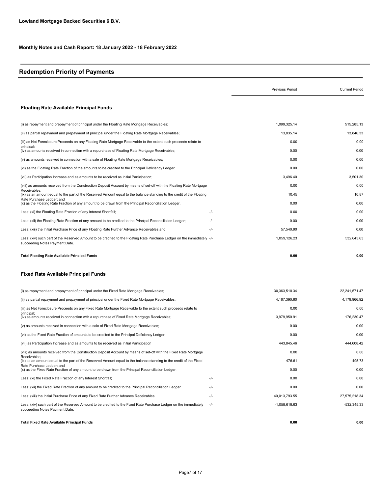## Redemption Priority of Payments

|                                                                                                                                                           |       | <b>Previous Period</b> | <b>Current Period</b> |
|-----------------------------------------------------------------------------------------------------------------------------------------------------------|-------|------------------------|-----------------------|
| <b>Floating Rate Available Principal Funds</b>                                                                                                            |       |                        |                       |
| (i) as repayment and prepayment of principal under the Floating Rate Mortgage Receivables;                                                                |       | 1,099,325.14           | 515,285.13            |
| (ii) as partial repayment and prepayment of principal under the Floating Rate Mortgage Receivables;                                                       |       | 13,835.14              | 13,846.33             |
| (iii) as Net Foreclosure Proceeds on any Floating Rate Mortgage Receivable to the extent such proceeds relate to                                          |       | 0.00                   | 0.00                  |
| principal:<br>(iv) as amounts received in connection with a repurchase of Floating Rate Mortgage Receivables;                                             |       | 0.00                   | 0.00                  |
| (v) as amounts received in connection with a sale of Floating Rate Mortgage Receivables;                                                                  |       | 0.00                   | 0.00                  |
| (vi) as the Floating Rate Fraction of the amounts to be credited to the Principal Deficiency Ledger;                                                      |       | 0.00                   | 0.00                  |
| (vii) as Participation Increase and as amounts to be received as Initial Participation;                                                                   |       | 3,496.40               | 3,501.30              |
| (viii) as amounts received from the Construction Deposit Account by means of set-off with the Floating Rate Mortgage                                      |       | 0.00                   | 0.00                  |
| Receivables;<br>(ix) as an amount equal to the part of the Reserved Amount equal to the balance standing to the credit of the Floating                    |       | 10.45                  | 10.87                 |
| Rate Purchase Ledger; and<br>(x) as the Floating Rate Fraction of any amount to be drawn from the Principal Reconciliation Ledger.                        |       | 0.00                   | 0.00                  |
| Less: (xi) the Floating Rate Fraction of any Interest Shortfall;                                                                                          | $-/-$ | 0.00                   | 0.00                  |
| Less: (xii) the Floating Rate Fraction of any amount to be credited to the Principal Reconciliation Ledger;                                               | -/-   | 0.00                   | 0.00                  |
| Less: (xiii) the Initial Purchase Price of any Floating Rate Further Advance Receivables and                                                              | -/-   | 57,540.90              | 0.00                  |
| Less: (xiv) such part of the Reserved Amount to be credited to the Floating Rate Purchase Ledger on the immediately -/-<br>succeeding Notes Payment Date. |       | 1,059,126.23           | 532,643.63            |
| <b>Total Floating Rate Available Principal Funds</b>                                                                                                      |       | 0.00                   | 0.00                  |
| <b>Fixed Rate Available Principal Funds</b>                                                                                                               |       |                        |                       |
| (i) as repayment and prepayment of principal under the Fixed Rate Mortgage Receivables;                                                                   |       | 30, 363, 510. 34       | 22,241,571.47         |
| (ii) as partial repayment and prepayment of principal under the Fixed Rate Mortgage Receivables;                                                          |       | 4,167,390.60           | 4,179,966.92          |
| (iii) as Net Foreclosure Proceeds on any Fixed Rate Mortgage Receivable to the extent such proceeds relate to                                             |       | 0.00                   | 0.00                  |
| principal:<br>(iv) as amounts received in connection with a repurchase of Fixed Rate Mortgage Receivables;                                                |       | 3,979,950.91           | 176,230.47            |
| (v) as amounts received in connection with a sale of Fixed Rate Mortgage Receivables;                                                                     |       | 0.00                   | 0.00                  |
| (vi) as the Fixed Rate Fraction of amounts to be credited to the Principal Deficiency Ledger;                                                             |       | 0.00                   | 0.00                  |
| (vii) as Participation Increase and as amounts to be received as Initial Participation                                                                    |       | 443,845.46             | 444,608.42            |
| (viii) as amounts received from the Construction Deposit Account by means of set-off with the Fixed Rate Mortgage                                         |       | 0.00                   | 0.00                  |
| Receivables;<br>(ix) as an amount equal to the part of the Reserved Amount equal to the balance standing to the credit of the Fixed                       |       | 476.61                 | 495.73                |
| Rate Purchase Ledger; and<br>(x) as the Fixed Rate Fraction of any amount to be drawn from the Principal Reconciliation Ledger.                           |       | 0.00                   | 0.00                  |
| Less: (xi) the Fixed Rate Fraction of any Interest Shortfall;                                                                                             | -/-   | 0.00                   | 0.00                  |
| Less: (xii) the Fixed Rate Fraction of any amount to be credited to the Principal Reconciliation Ledger.                                                  | -/-   | 0.00                   | 0.00                  |
| Less: (xiii) the Initial Purchase Price of any Fixed Rate Further Advance Receivables.                                                                    | $-/-$ | 40,013,793.55          | 27,575,218.34         |
| Less: (xiv) such part of the Reserved Amount to be credited to the Fixed Rate Purchase Ledger on the immediately<br>succeeding Notes Payment Date.        | $-/-$ | $-1,058,619.63$        | $-532.345.33$         |
| <b>Total Fixed Rate Available Principal Funds</b>                                                                                                         |       | 0.00                   | 0.00                  |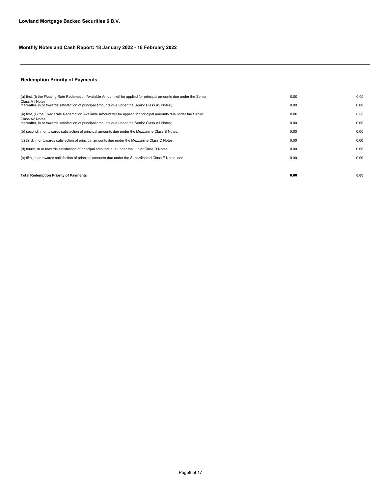## Redemption Priority of Payments

| <b>Total Redemption Priority of Payments</b>                                                                            | 0.00 | 0.00 |
|-------------------------------------------------------------------------------------------------------------------------|------|------|
|                                                                                                                         |      |      |
| (e) fifth, in or towards satisfaction of principal amounts due under the Subordinated Class E Notes; and                | 0.00 | 0.00 |
| (d) fourth, in or towards satisfaction of principal amounts due under the Junior Class D Notes;                         | 0.00 | 0.00 |
| (c) third, in or towards satisfaction of principal amounts due under the Mezzanine Class C Notes;                       | 0.00 | 0.00 |
| (b) second, in or towards satisfaction of principal amounts due under the Mezzanine Class B Notes;                      | 0.00 | 0.00 |
| Class A2 Notes:<br>thereafter, in or towards satisfaction of principal amounts due under the Senior Class A1 Notes;     | 0.00 | 0.00 |
| (a) first, (ii) the Fixed Rate Redemption Available Amount will be applied for principal amounts due under the Senior   | 0.00 | 0.00 |
| Class A1 Notes:<br>thereafter, in or towards satisfaction of principal amounts due under the Senior Class A2 Notes;     | 0.00 | 0.00 |
| (a) first, (i) the Floating Rate Redemption Available Amount will be applied for principal amounts due under the Senior | 0.00 | 0.00 |
|                                                                                                                         |      |      |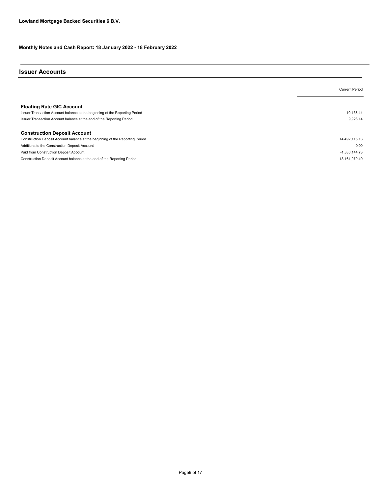## Issuer Accounts

|                                                                                                                 | <b>Current Period</b> |
|-----------------------------------------------------------------------------------------------------------------|-----------------------|
| <b>Floating Rate GIC Account</b><br>Issuer Transaction Account balance at the beginning of the Reporting Period | 10.136.44             |
| Issuer Transaction Account balance at the end of the Reporting Period                                           | 9,928.14              |
| <b>Construction Deposit Account</b>                                                                             |                       |
| Construction Deposit Account balance at the beginning of the Reporting Period                                   | 14,492,115.13         |
| Additions to the Construction Deposit Account                                                                   | 0.00                  |
| Paid from Construction Deposit Account                                                                          | $-1.330.144.73$       |
| Construction Deposit Account balance at the end of the Reporting Period                                         | 13.161.970.40         |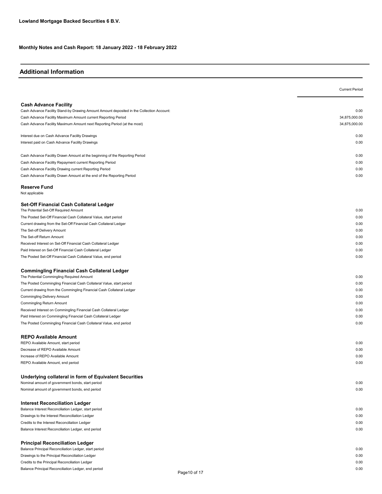## Additional Information

|                                                                                           | <b>Current Period</b> |
|-------------------------------------------------------------------------------------------|-----------------------|
|                                                                                           |                       |
| <b>Cash Advance Facility</b>                                                              |                       |
| Cash Advance Facility Stand-by Drawing Amount Amount deposited in the Collection Account: | 0.00                  |
| Cash Advance Facility Maximum Amount current Reporting Period                             | 34,875,000.00         |
| Cash Advance Facility Maximum Amount next Reporting Period (at the most)                  | 34,875,000.00         |
| Interest due on Cash Advance Facility Drawings                                            | 0.00                  |
| Interest paid on Cash Advance Facility Drawings                                           | 0.00                  |
| Cash Advance Facility Drawn Amount at the beginning of the Reporting Period               | 0.00                  |
| Cash Advance Facility Repayment current Reporting Period                                  | 0.00                  |
| Cash Advance Facility Drawing current Reporting Period                                    | 0.00                  |
| Cash Advance Facility Drawn Amount at the end of the Reporting Period                     | 0.00                  |
| <b>Reserve Fund</b><br>Not applicable                                                     |                       |
|                                                                                           |                       |
| Set-Off Financial Cash Collateral Ledger<br>The Potential Set-Off Required Amount         | 0.00                  |
| The Posted Set-Off Financial Cash Collateral Value, start period                          | 0.00                  |
| Current drawing from the Set-Off Financial Cash Collateral Ledger                         | 0.00                  |
| The Set-off Delivery Amount                                                               | 0.00                  |
| The Set-off Return Amount                                                                 | 0.00                  |
|                                                                                           |                       |
| Received Interest on Set-Off Financial Cash Collateral Ledger                             | 0.00                  |
| Paid Interest on Set-Off Financial Cash Collateral Ledger                                 | 0.00                  |
| The Posted Set-Off Financial Cash Collateral Value, end period                            | 0.00                  |
| <b>Commingling Financial Cash Collateral Ledger</b>                                       |                       |
| The Potential Commingling Required Amount                                                 | 0.00                  |
| The Posted Commingling Financial Cash Collateral Value, start period                      | 0.00                  |
| Current drawing from the Commingling Financial Cash Collateral Ledger                     | 0.00                  |
| Commingling Delivery Amount                                                               | 0.00                  |
| Commingling Return Amount                                                                 | 0.00                  |
| Received Interest on Commingling Financial Cash Collateral Ledger                         | 0.00                  |
| Paid Interest on Commingling Financial Cash Collateral Ledger                             | 0.00                  |
| The Posted Commingling Financial Cash Collateral Value, end period                        | 0.00                  |
| <b>REPO Available Amount</b>                                                              |                       |
| REPO Available Amount, start period                                                       | 0.00                  |
| Decrease of REPO Available Amount                                                         | 0.00                  |
| Increase of REPO Available Amount                                                         | 0.00                  |
| REPO Available Amount, end period                                                         | 0.00                  |
| Underlying collateral in form of Equivalent Securities                                    |                       |
| Nominal amount of government bonds, start period                                          | 0.00                  |
| Nominal amount of government bonds, end period                                            | 0.00                  |
| <b>Interest Reconciliation Ledger</b>                                                     |                       |
| Balance Interest Reconciliation Ledger, start period                                      | 0.00                  |
| Drawings to the Interest Reconciliation Ledger                                            | 0.00                  |
| Credits to the Interest Reconciliation Ledger                                             | 0.00                  |
| Balance Interest Reconciliation Ledger, end period                                        | 0.00                  |
| <b>Principal Reconciliation Ledger</b>                                                    |                       |
| Balance Principal Reconciliation Ledger, start period                                     | 0.00                  |
| Drawings to the Principal Reconciliation Ledger                                           | 0.00                  |
| Credits to the Principal Reconciliation Ledger                                            | 0.00                  |
| Balance Principal Reconciliation Ledger, end period                                       | 0.00                  |
| Page 10 of 17                                                                             |                       |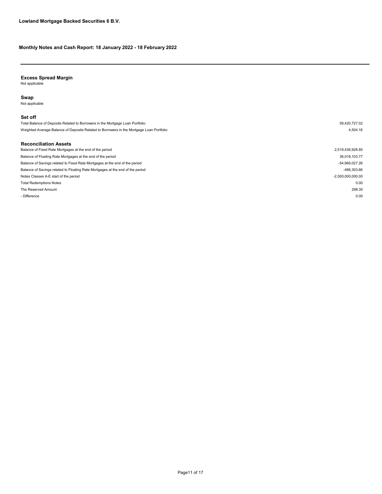#### Excess Spread Margin

Not applicable

#### Swap

Not applicable

#### Set off

The Reserved Amount 298.30 - Difference the contract of the contract of the contract of the contract of the contract of the contract of the contract of the contract of the contract of the contract of the contract of the contract of the contract of t Notes Classes A-E start of the period  $-2,500,000,000.00$ Total Redemptions Notes 0.00 Balance of Savings related to Fixed Rate Mortgages at the end of the period control of the period -54,969,027.26 Balance of Savings related to Floating Rate Mortgages at the end of the period -486,303.66 Balance of Fixed Rate Mortgages at the end of the period 2,519,436,928.85 Balance of Floating Rate Mortgages at the end of the period 36,018,103.77 Reconciliation Assets Total Balance of Deposits Related to Borrowers in the Mortgage Loan Portfolio: 59,420,727.02 Weighted Average Balance of Deposits Related to Borrowers in the Mortgage Loan Portfolio: 4,504.16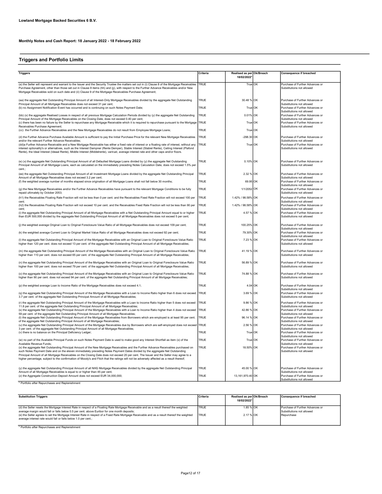## Triggers and Portfolio Limits

| Triggers                                                                                                                                                                                                                                                                                                                                                                                                                                                                                                                                                                                                                                        | Criteria     | Realised as per Ok/Breach<br>18/02/2022* |    | <b>Consequence if breached</b>                                                                  |
|-------------------------------------------------------------------------------------------------------------------------------------------------------------------------------------------------------------------------------------------------------------------------------------------------------------------------------------------------------------------------------------------------------------------------------------------------------------------------------------------------------------------------------------------------------------------------------------------------------------------------------------------------|--------------|------------------------------------------|----|-------------------------------------------------------------------------------------------------|
| (a) the Seller will represent and warrant to the Issuer and the Security Trustee the matters set out in (i) Clause 8 of the Mortgage Receivables<br>Purchase Agreement, other than those set out in Clause 8 items (hh) and (jj), with respect to the Further Advance Receivables and/or New<br>Mortgage Receivables sold on such date and (ii) Clause 9 of the Mortgage Receivables Purchase Agreement;                                                                                                                                                                                                                                        | TRUE         | True OK                                  |    | Purchase of Further Advances or<br>Substitutions not allowed                                    |
| (aa) the aggregate Net Outstanding Principal Amount of all Interest-Only Mortgage Receivables divided by the aggregate Net Outstanding<br>Principal Amount of all Mortgage Receivables does not exceed 31 per cent;                                                                                                                                                                                                                                                                                                                                                                                                                             | TRUF         | 30.48 % OK                               |    | Purchase of Further Advances or<br>Substitutions not allowed                                    |
| (b) no Assignment Notification Event has occurred and is continuing on such Notes Payment Date;                                                                                                                                                                                                                                                                                                                                                                                                                                                                                                                                                 | TRUF         | True OK                                  |    | Purchase of Further Advances or<br>Substitutions not allowed                                    |
| (bb) (x) the aggregate Realised Losses in respect of all previous Mortgage Calculation Periods divided by (y) the aggregate Net Outstanding<br>Principal Amount of the Mortgage Receivables on the Closing Date, does not exceed 0.40 per cent:                                                                                                                                                                                                                                                                                                                                                                                                 | TRUE         | 0.01% OK                                 |    | Purchase of Further Advances or<br>Substitutions not allowed                                    |
| (c) there has been no failure by the Seller to repurchase any Mortgage Receivable which it is required to repurchase pursuant to the Mortgage<br>Receivables Purchase Agreement:                                                                                                                                                                                                                                                                                                                                                                                                                                                                | TRUE         | True OK                                  |    | Purchase of Further Advances or<br>Substitutions not allowed                                    |
| (cc) the Further Advance Receivables and the New Mortgage Receivables do not result from Employee Mortgage Loans;                                                                                                                                                                                                                                                                                                                                                                                                                                                                                                                               | TRUE<br>TRUF | True OK<br>$-298.30$ OK                  |    | Purchase of Further Advances or                                                                 |
| (d) the Further Advance Purchase Available Amount is sufficient to pay the Initial Purchase Price for the relevant New Mortgage Receivables<br>and/or the relevant Further Advance Receivables;<br>(dd)a Further Advance Receivable and a New Mortgage Receivable has either a fixed rate of interest or a floating rate of interest, without any<br>interest optionality's or alternatives, such as the Interest Dampner (Rente Demper), Stable Interest (Stabiel Rente), Ceiling Interest (Plafond<br>Rente), the Ideal Interest (Ideaal Rente), Middle Interest (Middelrente), varirust, average interest rate and other caps and/or floors. | TRUE         | True OK                                  |    | Substitutions not allowed<br>Purchase of Further Advances or<br>Substitutions not allowed       |
| (e) (x) the aggregate Net Outstanding Principal Amount of all Defaulted Mortgage Loans divided by (y) the aggregate Net Outstanding<br>Principal Amount of all Mortgage Loans, each as calculated on the immediately preceding Notes Calculation Date, does not exceed 1.5% per<br>cent.:                                                                                                                                                                                                                                                                                                                                                       | TRUE         | 0.10% OK                                 |    | Purchase of Further Advances or<br>Substitutions not allowed                                    |
| (ee) the aggregate Net Outstanding Principal Amount of all Investment Mortgage Loans divided by the aggregate Net Outstanding Principal<br>Amount of all Mortgage Receivables does not exceed 3.2 per cent:                                                                                                                                                                                                                                                                                                                                                                                                                                     | TRUE         | 2.32 % OK                                |    | Purchase of Further Advances or<br>Substitutions not allowed                                    |
| (f) the weighted average number of months elapsed since origination of all Mortgage Loans shall not fall below 30 months;                                                                                                                                                                                                                                                                                                                                                                                                                                                                                                                       | TRUE         | 69.95 OK                                 |    | Purchase of Further Advances or<br>Substitutions not allowed                                    |
| (g) the New Mortgage Receivables and/or the Further Advance Receivables have pursuant to the relevant Mortgage Conditions to be fully<br>repaid ultimately by October 2053;                                                                                                                                                                                                                                                                                                                                                                                                                                                                     | TRUE         | 1/1/2052 OK                              |    | Purchase of Further Advances or<br>Substitutions not allowed                                    |
| (h1) the Receivables Floating Rate Fraction will not be less than 0 per cent. and the Receivables Fixed Rate Fraction will not exceed 100 per<br>cent:                                                                                                                                                                                                                                                                                                                                                                                                                                                                                          | TRUF         | 1.42% / 98.58% OK                        |    | Purchase of Further Advances or<br>Substitutions not allowed                                    |
| (h2) the Receivables Floating Rate Fraction will not exceed 10 per cent. and the Receivables Fixed Rate Fraction will not be less than 90 per<br>cent:                                                                                                                                                                                                                                                                                                                                                                                                                                                                                          | TRUE         | 1.42% / 98.58% OK                        |    | Purchase of Further Advances or<br>Substitutions not allowed                                    |
| (i) the aggregate Net Outstanding Principal Amount of all Mortgage Receivables with a Net Outstanding Principal Amount equal to or higher<br>than EUR 500,000 divided by the aggregate Net Outstanding Principal Amount of all Mortgage Receivables does not exceed 5 per cent;                                                                                                                                                                                                                                                                                                                                                                 | TRUE         | 4.57 % OK                                |    | Purchase of Further Advances or<br>Substitutions not allowed                                    |
| (j) the weighted average Original Loan to Original Foreclosure Value Ratio of all Mortgage Receivables does not exceed 109 per cent;                                                                                                                                                                                                                                                                                                                                                                                                                                                                                                            | TRUE         | 100.25% OK                               |    | Purchase of Further Advances or<br>Substitutions not allowed                                    |
| (k) the weighted average Current Loan to Original Market Value Ratio of all Mortgage Receivables does not exceed 92 per cent;                                                                                                                                                                                                                                                                                                                                                                                                                                                                                                                   | TRUE         | 79.30% OK                                |    | Purchase of Further Advances or<br>Substitutions not allowed                                    |
| (I) the aggregate Net Outstanding Principal Amount of the Mortgage Receivables with an Original Loan to Original Foreclosure Value Ratio<br>higher than 120 per cent. does not exceed 13 per cent. of the aggregate Net Outstanding Principal Amount of all Mortgage Receivables;                                                                                                                                                                                                                                                                                                                                                               | TRUE         | 7.23 % OK                                |    | Purchase of Further Advances or<br>Substitutions not allowed                                    |
| (m) the aggregate Net Outstanding Principal Amount of the Mortgage Receivables with an Original Loan to Original Foreclosure Value Ratio<br>higher than 110 per cent. does not exceed 65 per cent. of the aggregate Net Outstanding Principal Amount of all Mortgage Receivables;                                                                                                                                                                                                                                                                                                                                                               | TRUE         | 41.19 % OK                               |    | Purchase of Further Advances or<br>Substitutions not allowed                                    |
| (n) the aggregate Net Outstanding Principal Amount of the Mortgage Receivables with an Original Loan to Original Foreclosure Value Ratio<br>higher than 100 per cent. does not exceed 79 per cent. of the aggregate Net Outstanding Principal Amount of all Mortgage Receivables;                                                                                                                                                                                                                                                                                                                                                               | TRUF         | 56.89 % OK                               |    | Purchase of Further Advances or<br>Substitutions not allowed                                    |
| (o) the aggregate Net Outstanding Principal Amount of the Mortgage Receivables with an Original Loan to Original Foreclosure Value Ratio<br>higher than 90 per cent. does not exceed 94 per cent. of the aggregate Net Outstanding Principal Amount of all Mortgage Receivables;                                                                                                                                                                                                                                                                                                                                                                | TRUE         | 74.88 % OK                               |    | Purchase of Further Advances or<br>Substitutions not allowed                                    |
| (p) the weighted average Loan to Income Ratio of the Mortgage Receivables does not exceed 4.1;                                                                                                                                                                                                                                                                                                                                                                                                                                                                                                                                                  | TRUE         | 4.04 OK                                  |    | Purchase of Further Advances or<br>Substitutions not allowed                                    |
| (q) the aggregate Net Outstanding Principal Amount of the Mortgage Receivables with a Loan to Income Ratio higher than 6 does not exceed<br>3.7 per cent. of the aggregate Net Outstanding Principal Amount of all Mortgage Receivables;                                                                                                                                                                                                                                                                                                                                                                                                        | <b>TRUE</b>  | 3.69 % OK                                |    | Purchase of Further Advances or<br>Substitutions not allowed                                    |
| (r) the aggregate Net Outstanding Principal Amount of the Mortgage Receivables with a Loan to Income Ratio higher than 5 does not exceed<br>11.8 per cent. of the aggregate Net Outstanding Principal Amount of all Mortgage Receivables;                                                                                                                                                                                                                                                                                                                                                                                                       | TRUE         | 9.86 % OK                                |    | Purchase of Further Advances or<br>Substitutions not allowed                                    |
| (s) the aggregate Net Outstanding Principal Amount of the Mortgage Receivables with a Loan to Income Ratio higher than 4 does not exceed<br>59 per cent. of the aggregate Net Outstanding Principal Amount of all Mortgage Receivables;                                                                                                                                                                                                                                                                                                                                                                                                         | TRUE         | 42.86 % OK                               |    | Purchase of Further Advances or<br>Substitutions not allowed                                    |
| (t) the aggregate Net Outstanding Principal Amount of the Mortgage Receivables from Borrowers which are employed is at least 95 per cent.<br>of the aggregate Net Outstanding Principal Amount of all Mortgage Receivables;                                                                                                                                                                                                                                                                                                                                                                                                                     | TRUE         | 96.14 % OK                               |    | Purchase of Further Advances or<br>Substitutions not allowed                                    |
| (u) the aggregate Net Outstanding Principal Amount of the Mortgage Receivables due by Borrowers which are self-employed does not exceed<br>3 per cent. of the aggregate Net Outstanding Principal Amount of all Mortgage Receivables;                                                                                                                                                                                                                                                                                                                                                                                                           | <b>TRUE</b>  | 2.56 %                                   | OK | Purchase of Further Advances or<br>Substitutions not allowed                                    |
| (v) there is no balance on the Principal Deficiency Ledger;                                                                                                                                                                                                                                                                                                                                                                                                                                                                                                                                                                                     | TRUE<br>TRUF | True OK                                  |    | Purchase of Further Advances or<br>Substitutions not allowed                                    |
| (w) no part of the Available Principal Funds on such Notes Payment Date is used to make good any Interest Shortfall as item (x) of the<br>Available Revenue Funds:                                                                                                                                                                                                                                                                                                                                                                                                                                                                              | TRUF         | True OK                                  |    | Purchase of Further Advances or<br>Substitutions not allowed<br>Purchase of Further Advances or |
| (x) the aggregate Net Outstanding Principal Amount of the New Mortgage Receivables and the Further Advance Receivables purchased on<br>such Notes Payment Date and on the eleven immediately preceding Notes Payment Dates divided by the aggregate Net Outstanding<br>Principal Amount of all Mortgage Receivables on the Closing Date does not exceed 20 per cent. The Issuer and the Seller may agree to a<br>higher percentage, subject to the confirmation of Moody's and Fitch that the ratings will not be adversely affected as a result thereof;                                                                                       |              | 18.50% OK                                |    | Substitutions not allowed                                                                       |
| (y) the aggregate Net Outstanding Principal Amount of all NHG Mortgage Receivables divided by the aggregate Net Outstanding Principal                                                                                                                                                                                                                                                                                                                                                                                                                                                                                                           | TRUF         | 45.00 % OK                               |    | Purchase of Further Advances or                                                                 |
| Amount of all Mortgage Receivables is equal to or higher than 45 per cent;<br>(z) the Aggregate Construction Deposit Amount does not exceed EUR 34,000,000;                                                                                                                                                                                                                                                                                                                                                                                                                                                                                     | TRUE         | 13,161,970.40 OK                         |    | Substitutions not allowed<br>Purchase of Further Advances or<br>Substitutions not allowed       |

<sup>\*</sup> Portfolio after Repurchases and Replenishment

| <b>Substitution Triggers</b>                                                                                                                                                                                                                                              | Criteria     | Realised as per Ok/Breach<br>18/02/2022* | Consequence if breached                                      |
|---------------------------------------------------------------------------------------------------------------------------------------------------------------------------------------------------------------------------------------------------------------------------|--------------|------------------------------------------|--------------------------------------------------------------|
| (d) the Seller resets the Mortgage Interest Rate in respect of a Floating Rate Mortgage Receivable and as a result thereof the weighted<br>average margin would fall or falls below 0.5 per cent. above Euribor for one month deposits;                                   | <b>ITRUE</b> | 1.85 % OK                                | Purchase of Further Advances or<br>Substitutions not allowed |
| (e) the Seller agrees to set the Mortgage Interest Rate in respect of a Fixed Rate Mortgage Receivable and as a result thereof the weighted<br>average interest rate would fall or falls below 1.0 per cent.:<br>* Brookfield and the Brookers and and Brookers laten and | <b>ITRUE</b> | 2.17 % OK                                | Repurchase                                                   |

Portfolio after Repurchases and Replenishment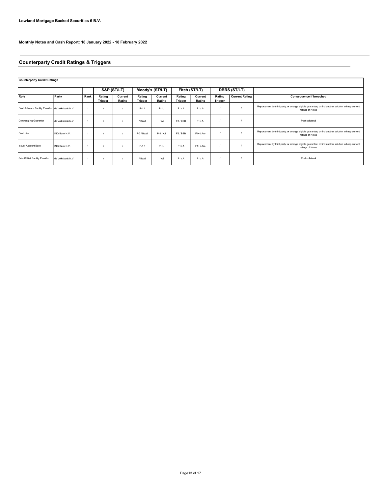## Counterparty Credit Ratings & Triggers

#### Counterparty Credit Ratings

|                                                  |                   |      | S&P (ST/LT)              |                   | Moody's (ST/LT)          |                   | Fitch (ST/LT)            |                   |                          | <b>DBRS (ST/LT)</b>   |                                                                                                                         |
|--------------------------------------------------|-------------------|------|--------------------------|-------------------|--------------------------|-------------------|--------------------------|-------------------|--------------------------|-----------------------|-------------------------------------------------------------------------------------------------------------------------|
| Role                                             | Party             | Rank | Rating<br><b>Trigger</b> | Current<br>Rating | Rating<br><b>Trigger</b> | Current<br>Rating | Rating<br><b>Trigger</b> | Current<br>Rating | Rating<br><b>Trigger</b> | <b>Current Rating</b> | <b>Consequence if breached</b>                                                                                          |
| Cash Advance Facility Provider de Volksbank N.V. |                   |      |                          |                   | $P-1/$                   | $P-1/$            | F1/A                     | $F1/A-$           |                          |                       | Replacement by third party; or arrange eligible guarantee; or find another solution to keep current<br>ratings of Notes |
| Commingling Guarantor                            | de Volksbank N.V. |      |                          |                   | / Baa1                   | / A2              | F <sub>2</sub> /BBB      | $F1/A-$           |                          |                       | Post collateral                                                                                                         |
| Custodian                                        | ING Bank N.V.     |      |                          |                   | P-2 / Baa2               | $P-1/A1$          | F <sub>2</sub> /BBB      | $F1+ / AA-$       |                          |                       | Replacement by third party; or arrange eligible guarantee; or find another solution to keep current<br>ratings of Notes |
| <b>Issuer Account Bank</b>                       | ING Bank N.V.     |      |                          |                   | $P-1/$                   | $P-1/$            | F1/A                     | $F1+ / AA-$       |                          |                       | Replacement by third party; or arrange eligible guarantee; or find another solution to keep current<br>ratings of Notes |
| Set-off Risk Facility Provider                   | de Volksbank N.V. |      |                          |                   | / Baa3                   | 1A2               | F1/A                     | $F1/A-$           |                          |                       | Post collateral                                                                                                         |

1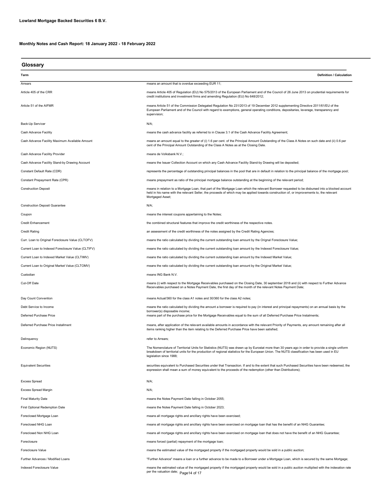| Glossary                                           |                                                                                                                                                                                                                                                                                                                             |
|----------------------------------------------------|-----------------------------------------------------------------------------------------------------------------------------------------------------------------------------------------------------------------------------------------------------------------------------------------------------------------------------|
| Term                                               | <b>Definition / Calculation</b>                                                                                                                                                                                                                                                                                             |
| Arrears                                            | means an amount that is overdue exceeding EUR 11;                                                                                                                                                                                                                                                                           |
| Article 405 of the CRR                             | means Article 405 of Regulation (EU) No 575/2013 of the European Parliament and of the Council of 26 June 2013 on prudential requirements for<br>credit institutions and investment firms and amending Regulation (EU) No 648/2012;                                                                                         |
| Article 51 of the AIFMR                            | means Article 51 of the Commission Delegated Regulation No 231/2013 of 19 December 2012 supplementing Directive 2011/61/EU of the<br>European Parliament and of the Council with regard to exemptions, general operating conditions, depositaries, leverage, transparency and<br>supervision;                               |
| Back-Up Servicer                                   | N/A;                                                                                                                                                                                                                                                                                                                        |
| Cash Advance Facility                              | means the cash advance facility as referred to in Clause 3.1 of the Cash Advance Facility Agreement;                                                                                                                                                                                                                        |
| Cash Advance Facility Maximum Available Amount     | means an amount equal to the greater of (i) 1.6 per cent. of the Principal Amount Outstanding of the Class A Notes on such date and (ii) 0.6 per<br>cent of the Principal Amount Outstanding of the Class A Notes as at the Closing Date.                                                                                   |
| Cash Advance Facility Provider                     | means de Volksbank N.V.;                                                                                                                                                                                                                                                                                                    |
| Cash Advance Facility Stand-by Drawing Account     | means the Issuer Collection Account on which any Cash Advance Facility Stand-by Drawing will be deposited;                                                                                                                                                                                                                  |
| Constant Default Rate (CDR)                        | represents the percentage of outstanding principal balances in the pool that are in default in relation to the principal balance of the mortgage pool;                                                                                                                                                                      |
| Constant Prepayment Rate (CPR)                     | means prepayment as ratio of the principal mortgage balance outstanding at the beginning of the relevant period;                                                                                                                                                                                                            |
| <b>Construction Deposit</b>                        | means in relation to a Mortgage Loan, that part of the Mortgage Loan which the relevant Borrower requested to be disbursed into a blocked account<br>held in his name with the relevant Seller, the proceeds of which may be applied towards construction of, or improvements to, the relevant<br>Mortgaged Asset;          |
| <b>Construction Deposit Guarantee</b>              | N/A;                                                                                                                                                                                                                                                                                                                        |
| Coupon                                             | means the interest coupons appertaining to the Notes;                                                                                                                                                                                                                                                                       |
| <b>Credit Enhancement</b>                          | the combined structural features that improve the credit worthiness of the respective notes.                                                                                                                                                                                                                                |
| <b>Credit Rating</b>                               | an assessment of the credit worthiness of the notes assigned by the Credit Rating Agencies;                                                                                                                                                                                                                                 |
| Curr. Loan to Original Foreclosure Value (CLTOFV)  | means the ratio calculated by dividing the current outstanding loan amount by the Orignal Foreclosure Value;                                                                                                                                                                                                                |
| Current Loan to Indexed Foreclosure Value (CLTIFV) | means the ratio calculated by dividing the current outstanding loan amount by the Indexed Foreclosure Value;                                                                                                                                                                                                                |
| Current Loan to Indexed Market Value (CLTIMV)      | means the ratio calculated by dividing the current outstanding loan amount by the Indexed Market Value;                                                                                                                                                                                                                     |
| Current Loan to Original Market Value (CLTOMV)     | means the ratio calculated by dividing the current outstanding loan amount by the Original Market Value;                                                                                                                                                                                                                    |
| Custodian                                          | means ING Bank N.V.                                                                                                                                                                                                                                                                                                         |
| Cut-Off Date                                       | means (i) with respect to the Mortgage Receivables purchased on the Closing Date, 30 september 2018 and (ii) with respect to Further Advance<br>Receivables purchased on a Notes Payment Date, the first day of the month of the relevant Notes Payment Date;                                                               |
| Day Count Convention                               | means Actual/360 for the class A1 notes and 30/360 for the class A2 notes;                                                                                                                                                                                                                                                  |
| Debt Service to Income                             | means the ratio calculated by dividing the amount a borrower is required to pay (in interest and principal repayments) on an annual basis by the                                                                                                                                                                            |
| Deferred Purchase Price                            | borrower(s) disposable income;<br>means part of the purchase price for the Mortgage Receivables equal to the sum of all Deferred Purchase Price Instalments;                                                                                                                                                                |
| Deferred Purchase Price Installment                | means, after application of the relevant available amounts in accordance with the relevant Priority of Payments, any amount remaining after all<br>items ranking higher than the item relating to the Deferred Purchase Price have been satisfied;                                                                          |
| Delinquency                                        | refer to Arrears;                                                                                                                                                                                                                                                                                                           |
| Economic Region (NUTS)                             | The Nomenclature of Territorial Units for Statistics (NUTS) was drawn up by Eurostat more than 30 years ago in order to provide a single uniform<br>breakdown of territorial units for the production of regional statistics for the European Union. The NUTS classification has been used in EU<br>legislation since 1988; |
| <b>Equivalent Securities</b>                       | securities equivalent to Purchased Securities under that Transaction. If and to the extent that such Purchased Securities have been redeemed, the<br>expression shall mean a sum of money equivalent to the proceeds of the redemption (other than Distributions);                                                          |
| <b>Excess Spread</b>                               | N/A;                                                                                                                                                                                                                                                                                                                        |
| <b>Excess Spread Margin</b>                        | N/A;                                                                                                                                                                                                                                                                                                                        |
| <b>Final Maturity Date</b>                         | means the Notes Payment Date falling in October 2055;                                                                                                                                                                                                                                                                       |
| <b>First Optional Redemption Date</b>              | means the Notes Payment Date falling in October 2023;                                                                                                                                                                                                                                                                       |
| Foreclosed Mortgage Loan                           | means all mortgage rights and ancillary rights have been exercised;                                                                                                                                                                                                                                                         |
| Foreclosed NHG Loan                                | means all mortgage rights and ancillary rights have been exercised on mortgage loan that has the benefit of an NHG Guarantee;                                                                                                                                                                                               |
| Foreclosed Non NHG Loan                            | means all mortgage rights and ancillary rights have been exercised on mortgage loan that does not have the benefit of an NHG Guarantee;                                                                                                                                                                                     |
| Foreclosure                                        | means forced (partial) repayment of the mortgage loan;                                                                                                                                                                                                                                                                      |
| Foreclosure Value                                  | means the estimated value of the mortgaged property if the mortgaged property would be sold in a public auction;                                                                                                                                                                                                            |
| Further Advances / Modified Loans                  | "Further Advance" means a loan or a further advance to be made to a Borrower under a Mortgage Loan, which is secured by the same Mortgage;                                                                                                                                                                                  |
| Indexed Foreclosure Value                          | means the estimated value of the mortgaged property if the mortgaged property would be sold in a public auction multiplied with the indexation rate<br>per the valuation date; Page 14 of 17                                                                                                                                |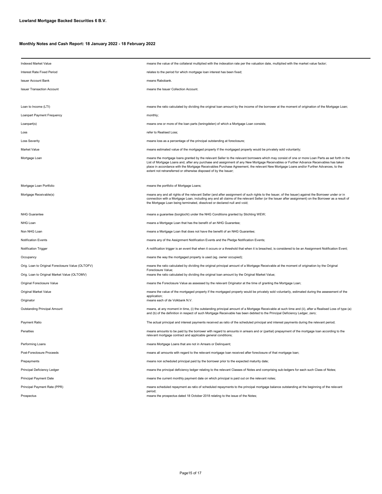| Indexed Market Value                              | means the value of the collateral multiplied with the indexation rate per the valuation date, multiplied with the market value factor;                                                                                                                                                                                                                                                                                                                                                                   |  |  |  |
|---------------------------------------------------|----------------------------------------------------------------------------------------------------------------------------------------------------------------------------------------------------------------------------------------------------------------------------------------------------------------------------------------------------------------------------------------------------------------------------------------------------------------------------------------------------------|--|--|--|
| Interest Rate Fixed Period                        | relates to the period for which mortgage loan interest has been fixed;                                                                                                                                                                                                                                                                                                                                                                                                                                   |  |  |  |
| <b>Issuer Account Bank</b>                        | means Rabobank.                                                                                                                                                                                                                                                                                                                                                                                                                                                                                          |  |  |  |
| <b>Issuer Transaction Account</b>                 | means the Issuer Collection Account                                                                                                                                                                                                                                                                                                                                                                                                                                                                      |  |  |  |
|                                                   |                                                                                                                                                                                                                                                                                                                                                                                                                                                                                                          |  |  |  |
| Loan to Income (LTI)                              | means the ratio calculated by dividing the original loan amount by the income of the borrower at the moment of origination of the Mortgage Loan;                                                                                                                                                                                                                                                                                                                                                         |  |  |  |
| Loanpart Payment Frequency                        | monthly;                                                                                                                                                                                                                                                                                                                                                                                                                                                                                                 |  |  |  |
| Loanpart(s)                                       | means one or more of the loan parts (leningdelen) of which a Mortgage Loan consists;                                                                                                                                                                                                                                                                                                                                                                                                                     |  |  |  |
| Loss                                              | refer to Realised Loss;                                                                                                                                                                                                                                                                                                                                                                                                                                                                                  |  |  |  |
| <b>Loss Severity</b>                              | means loss as a percentage of the principal outstanding at foreclosure;                                                                                                                                                                                                                                                                                                                                                                                                                                  |  |  |  |
| Market Value                                      | means estimated value of the mortgaged property if the mortgaged property would be privately sold voluntarily;                                                                                                                                                                                                                                                                                                                                                                                           |  |  |  |
| Mortgage Loan                                     | means the mortgage loans granted by the relevant Seller to the relevant borrowers which may consist of one or more Loan Parts as set forth in the<br>List of Mortgage Loans and, after any purchase and assignment of any New Mortgage Receivables or Further Advance Receivables has taken<br>place in accordance with the Mortgage Receivables Purchase Agreement, the relevant New Mortgage Loans and/or Further Advances, to the<br>extent not retransferred or otherwise disposed of by the Issuer; |  |  |  |
| Mortgage Loan Portfolio                           | means the portfolio of Mortgage Loans;                                                                                                                                                                                                                                                                                                                                                                                                                                                                   |  |  |  |
| Mortgage Receivable(s)                            | means any and all rights of the relevant Seller (and after assignment of such rights to the Issuer, of the Issuer) against the Borrower under or in<br>connection with a Mortgage Loan, including any and all claims of the relevant Seller (or the Issuer after assignment) on the Borrower as a result of<br>the Mortgage Loan being terminated, dissolved or declared null and void;                                                                                                                  |  |  |  |
| <b>NHG Guarantee</b>                              | means a guarantee (borgtocht) under the NHG Conditions granted by Stichting WEW;                                                                                                                                                                                                                                                                                                                                                                                                                         |  |  |  |
| NHG Loan                                          | means a Mortgage Loan that has the benefit of an NHG Guarantee;                                                                                                                                                                                                                                                                                                                                                                                                                                          |  |  |  |
| Non NHG Loan                                      | means a Mortgage Loan that does not have the benefit of an NHG Guarantee;                                                                                                                                                                                                                                                                                                                                                                                                                                |  |  |  |
| Notification Events                               | means any of the Assignment Notification Events and the Pledge Notification Events;                                                                                                                                                                                                                                                                                                                                                                                                                      |  |  |  |
| Notification Trigger                              | A notification trigger is an event that when it occurs or a threshold that when it is breached, is considered to be an Assignment Notification Event;                                                                                                                                                                                                                                                                                                                                                    |  |  |  |
| Occupancy                                         | means the way the mortgaged property is used (eg. owner occupied);                                                                                                                                                                                                                                                                                                                                                                                                                                       |  |  |  |
| Orig. Loan to Original Foreclosure Value (OLTOFV) | means the ratio calculated by dividing the original principal amount of a Mortgage Receivable at the moment of origination by the Original<br>Foreclosure Value;                                                                                                                                                                                                                                                                                                                                         |  |  |  |
| Orig. Loan to Original Market Value (OLTOMV)      | means the ratio calculated by dividing the original loan amount by the Original Market Value;                                                                                                                                                                                                                                                                                                                                                                                                            |  |  |  |
| Original Foreclosure Value                        | means the Foreclosure Value as assessed by the relevant Originator at the time of granting the Mortgage Loan;                                                                                                                                                                                                                                                                                                                                                                                            |  |  |  |
| Original Market Value                             | means the value of the mortgaged property if the mortgaged property would be privately sold voluntarily, estimated during the assessment of the<br>application;                                                                                                                                                                                                                                                                                                                                          |  |  |  |
| Originator                                        | means each of de Volkbank N.V.                                                                                                                                                                                                                                                                                                                                                                                                                                                                           |  |  |  |
| Outstanding Principal Amount                      | means, at any moment in time, (i) the outstanding principal amount of a Mortgage Receivable at such time and (ii), after a Realised Loss of type (a)<br>and (b) of the definition in respect of such Mortgage Receivable has been debited to the Principal Deficiency Ledger, zero;                                                                                                                                                                                                                      |  |  |  |
| Payment Ratio                                     | The actual principal and interest payments received as ratio of the scheduled principal and interest payments during the relevant period;                                                                                                                                                                                                                                                                                                                                                                |  |  |  |
| Penalties                                         | means amounts to be paid by the borrower with regard to amounts in arrears and or (partial) prepayment of the mortgage loan according to the<br>relevant mortgage contract and applicable general conditions;                                                                                                                                                                                                                                                                                            |  |  |  |
| Performing Loans                                  | means Mortgage Loans that are not in Arrears or Delinquent;                                                                                                                                                                                                                                                                                                                                                                                                                                              |  |  |  |
| Post-Foreclosure Proceeds                         | means all amounts with regard to the relevant mortgage loan received after foreclosure of that mortgage loan;                                                                                                                                                                                                                                                                                                                                                                                            |  |  |  |
| Prepayments                                       | means non scheduled principal paid by the borrower prior to the expected maturity date;                                                                                                                                                                                                                                                                                                                                                                                                                  |  |  |  |
| Principal Deficiency Ledger                       | means the principal deficiency ledger relating to the relevant Classes of Notes and comprising sub-ledgers for each such Class of Notes;                                                                                                                                                                                                                                                                                                                                                                 |  |  |  |
| Principal Payment Date                            | means the current monthly payment date on which principal is paid out on the relevant notes;                                                                                                                                                                                                                                                                                                                                                                                                             |  |  |  |
| Principal Payment Rate (PPR)                      | means scheduled repayment as ratio of scheduled repayments to the principal mortgage balance outstanding at the beginning of the relevant<br>period;                                                                                                                                                                                                                                                                                                                                                     |  |  |  |
| Prospectus                                        | means the prospectus dated 18 October 2018 relating to the issue of the Notes;                                                                                                                                                                                                                                                                                                                                                                                                                           |  |  |  |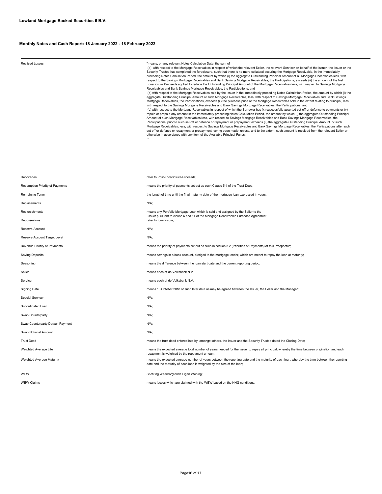#### Realised Losses "means, on any relevant Notes Calculation Date, the sum of

 (a) with respect to the Mortgage Receivables in respect of which the relevant Seller, the relevant Servicer on behalf of the Issuer, the Issuer or the Security Trustee has completed the foreclosure, such that there is no more collateral securing the Mortgage Receivable, in the immediately<br>preceding Notes Calculation Period, the amount by which (i) the aggregate Outstandi respect to the Savings Mortgage Receivables and Bank Savings Mortgage Receivables, the Participations, exceeds (ii) the amount of the Net<br>Foreclosure Proceeds applied to reduce the Outstanding Principal Amount of the Mortg Receivables and Bank Savings Mortgage Receivables, the Participations; and (b) with respect to the Mortgage Receivables sold by the Issuer in the immediately preceding Notes Calculation Period, the amount by which (i) the<br>aggregate Outstanding Principal Amount of such Mortgage Receivables, less, (c) with respect to the Mortgage Receivables in respect of which the Borrower has (x) successfully asserted set-off or defence to payments or (y)<br>repaid or prepaid any amount in the immediately preceding Notes Calculation Amount of such Mortgage Receivables less, with respect to Savings Mortgage Receivables and Bank Savings Mortgage Receivables, the<br>Participations, prior to such set-off or defence or repayment or prepayment exceeds (ii) the set-off or defence or repayment or prepayment having been made, unless, and to the extent, such amount is received from the relevant Seller or<br>otherwise in accordance with any item of the Available Principal Funds;<br>"

| Recoveries                        | refer to Post-Foreclosure-Proceeds;                                                                                                                                                                                    |  |  |  |
|-----------------------------------|------------------------------------------------------------------------------------------------------------------------------------------------------------------------------------------------------------------------|--|--|--|
| Redemption Priority of Payments   | means the priority of payments set out as such Clause 5.4 of the Trust Deed;                                                                                                                                           |  |  |  |
| Remaining Tenor                   | the length of time until the final maturity date of the mortgage loan expressed in years;                                                                                                                              |  |  |  |
| Replacements                      | N/A;                                                                                                                                                                                                                   |  |  |  |
| Replenishments                    | means any Portfolio Mortgage Loan which is sold and assigned by the Seller to the<br>Issuer pursuant to clause 6 and 11 of the Mortgage Receivables Purchase Agreement;                                                |  |  |  |
| Repossesions                      | refer to foreclosure;                                                                                                                                                                                                  |  |  |  |
| Reserve Account                   | $N/A$ ;                                                                                                                                                                                                                |  |  |  |
| Reserve Account Target Level      | N/A;                                                                                                                                                                                                                   |  |  |  |
| Revenue Priority of Payments      | means the priority of payments set out as such in section 5.2 (Priorities of Payments) of this Prospectus;                                                                                                             |  |  |  |
| Saving Deposits                   | means savings in a bank account, pledged to the mortgage lender, which are meant to repay the loan at maturity;                                                                                                        |  |  |  |
| Seasoning                         | means the difference between the loan start date and the current reporting period;                                                                                                                                     |  |  |  |
| Seller                            | means each of de Volksbank N.V.                                                                                                                                                                                        |  |  |  |
| Servicer                          | means each of de Volksbank N.V.                                                                                                                                                                                        |  |  |  |
| <b>Signing Date</b>               | means 18 October 2018 or such later date as may be agreed between the Issuer, the Seller and the Manager;                                                                                                              |  |  |  |
| Special Servicer                  | $N/A$ ;                                                                                                                                                                                                                |  |  |  |
| Subordinated Loan                 | N/A;                                                                                                                                                                                                                   |  |  |  |
| Swap Counterparty                 | N/A;                                                                                                                                                                                                                   |  |  |  |
| Swap Counterparty Default Payment | N/A;                                                                                                                                                                                                                   |  |  |  |
| Swap Notional Amount              | $N/A$ ;                                                                                                                                                                                                                |  |  |  |
| <b>Trust Deed</b>                 | means the trust deed entered into by, amongst others, the Issuer and the Security Trustee dated the Closing Date;                                                                                                      |  |  |  |
| Weighted Average Life             | means the expected average total number of years needed for the issuer to repay all principal, whereby the time between origination and each<br>repayment is weighted by the repayment amount;                         |  |  |  |
| Weighted Average Maturity         | means the expected average number of years between the reporting date and the maturity of each loan, whereby the time between the reporting<br>date and the maturity of each loan is weighted by the size of the loan; |  |  |  |
| WEW                               | Stichting Waarborgfonds Eigen Woning;                                                                                                                                                                                  |  |  |  |

WEW Claims means losses which are claimed with the WEW based on the NHG conditions;

Page16 of 17